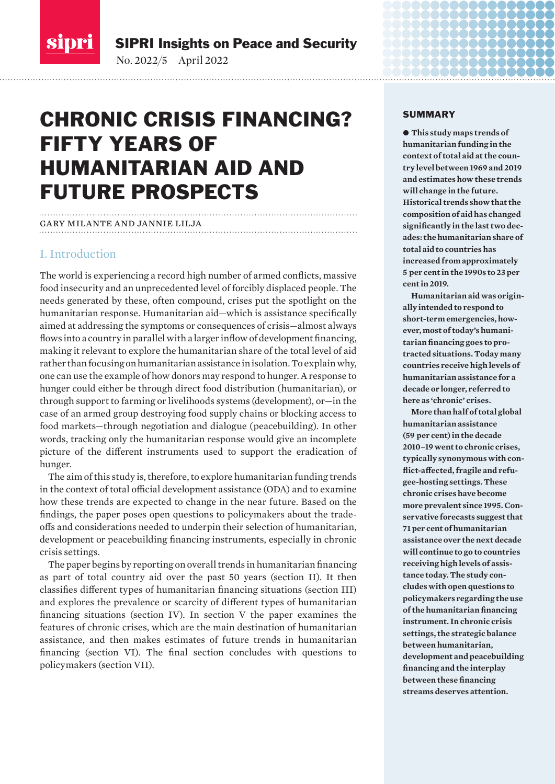<span id="page-0-0"></span>

SIPRI Insights on Peace and Security

No. 2022/5 April 2022

# CHRONIC CRISIS FINANCING? FIFTY YEARS OF HUMANITARIAN AID AND FUTURE PROSPECTS

#### gary milante and jannie lilja

### I. Introduction

The world is experiencing a record high number of armed conflicts, massive food insecurity and an unprecedented level of forcibly displaced people. The needs generated by these, often compound, crises put the spotlight on the humanitarian response. Humanitarian aid—which is assistance specifically aimed at addressing the symptoms or consequences of crisis—almost always flows into a country in parallel with a larger inflow of development financing, making it relevant to explore the humanitarian share of the total level of aid rather than focusing on humanitarian assistance in isolation. To explain why, one can use the example of how donors may respond to hunger. A response to hunger could either be through direct food distribution (humanitarian), or through support to farming or livelihoods systems (development), or—in the case of an armed group destroying food supply chains or blocking access to food markets—through negotiation and dialogue (peacebuilding). In other words, tracking only the humanitarian response would give an incomplete picture of the different instruments used to support the eradication of hunger.

The aim of this study is, therefore, to explore humanitarian funding trends in the context of total official development assistance (ODA) and to examine how these trends are expected to change in the near future. Based on the findings, the paper poses open questions to policymakers about the tradeoffs and considerations needed to underpin their selection of humanitarian, development or peacebuilding financing instruments, especially in chronic crisis settings.

The paper begins by reporting on overall trends in humanitarian financing as part of total country aid over the past 50 years (section II). It then classifies different types of humanitarian financing situations (section III) and explores the prevalence or scarcity of different types of humanitarian financing situations (section IV). In section V the paper examines the features of chronic crises, which are the main destination of humanitarian assistance, and then makes estimates of future trends in humanitarian financing (section VI). The final section concludes with questions to policymakers (section VII).

#### SUMMARY

 $\bullet$  This study maps trends of **humanitarian funding in the context of total aid at the country level between 1969 and 2019 and estimates how these trends will change in the future. Historical trends show that the composition of aid has changed significantly in the last two decades: the humanitarian share of total aid to countries has increased from approximately 5 per cent in the 1990s to 23 per cent in 2019.** 

888888

**Humanitarian aid was originally intended to respond to short-term emergencies, however, most of today's humanitarian financing goes to protracted situations. Today many countries receive high levels of humanitarian assistance for a decade or longer, referred to here as 'chronic' crises.**

**More than half of total global humanitarian assistance (59 per cent) in the decade 2010–19 went to chronic crises, typically synonymous with conflict-affected, fragile and refugee-hosting settings. These chronic crises have become more prevalent since 1995. Conservative forecasts suggest that 71 per cent of humanitarian assistance over the next decade will continue to go to countries receiving high levels of assistance today. The study concludes with open questions to policymakers regarding the use of the humanitarian financing instrument. In chronic crisis settings, the strategic balance between humanitarian, development and peacebuilding financing and the interplay between these financing streams deserves attention.**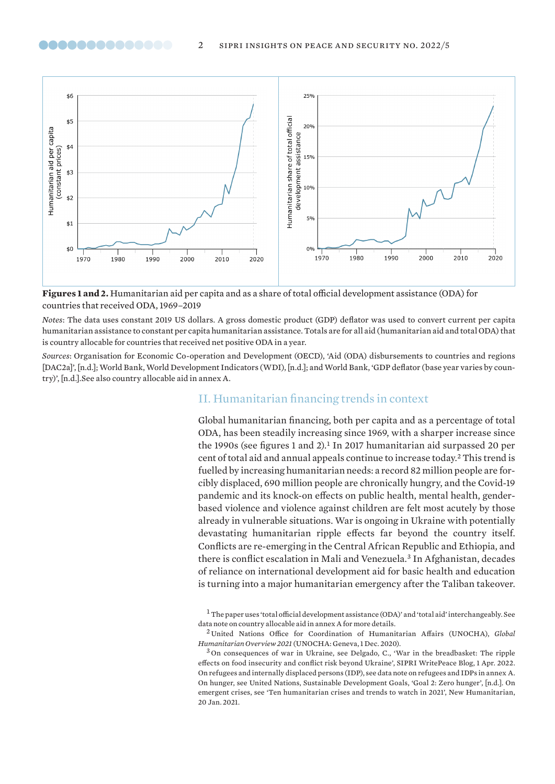

<span id="page-1-0"></span>00000000000000

**Figures 1 and 2.** Humanitarian aid per capita and as a share of total official development assistance (ODA) for countries that received ODA, 1969–2019

*Notes*: The data uses constant 2019 US dollars. A gross domestic product (GDP) deflator was used to convert current per capita humanitarian assistance to constant per capita humanitarian assistance. Totals are for all aid (humanitarian aid and total ODA) that is country allocable for countries that received net positive ODA in a year.

*Sources*: Organisation for Economic Co-operation and Development (OECD), ['Aid \(ODA\) disbursements to countries and regions](https://stats.oecd.org/Index.aspx?DataSetCode=TABLE2A)  [\[DAC2a\]](https://stats.oecd.org/Index.aspx?DataSetCode=TABLE2A)', [n.d.]; World Bank, [World Development Indicators \(WDI\)](https://databank.worldbank.org/source/world-development-indicators), [n.d.]; and World Bank, '[GDP deflator \(base year varies by coun](https://data.worldbank.org/indicator/NY.GDP.DEFL.ZS)[try\)](https://data.worldbank.org/indicator/NY.GDP.DEFL.ZS)', [n.d.].See also country allocable aid in annex A.

#### II. Humanitarian financing trends in context

Global humanitarian financing, both per capita and as a percentage of total ODA, has been steadily increasing since 1969, with a sharper increase since the 1990s (see figures 1 and 2).<sup>1</sup> In 2017 humanitarian aid surpassed 20 per cent of total aid and annual appeals continue to increase today.<sup>2</sup> This trend is fuelled by increasing humanitarian needs: a record 82 million people are forcibly displaced, 690 million people are chronically hungry, and the Covid-19 pandemic and its knock-on effects on public health, mental health, genderbased violence and violence against children are felt most acutely by those already in vulnerable situations. War is ongoing in Ukraine with potentially devastating humanitarian ripple effects far beyond the country itself. Conflicts are re-emerging in the Central African Republic and Ethiopia, and there is conflict escalation in Mali and Venezuela.<sup>3</sup> In Afghanistan, decades of reliance on international development aid for basic health and education is turning into a major humanitarian emergency after the Taliban takeover.

<sup>1</sup>The paper uses 'total official development assistance (ODA)' and 'total aid' interchangeably. See data note on country allocable aid in annex A for more details.

<sup>2</sup> United Nations Office for Coordination of Humanitarian Affairs (UNOCHA), *[Global](https://www.unocha.org/global-humanitarian-overview-2021)  [Humanitarian Overview 2021](https://www.unocha.org/global-humanitarian-overview-2021)* (UNOCHA: Geneva, 1 Dec. 2020).

<sup>3</sup> On consequences of war in Ukraine, see Delgado, C., '[War in the breadbasket: The ripple](https://www.sipri.org/commentary/blog/2022/war-breadbasket-ripple-effects-food-insecurity-and-conflict-risk-beyond-ukraine)  [effects on food insecurity and conflict risk beyond Ukraine](https://www.sipri.org/commentary/blog/2022/war-breadbasket-ripple-effects-food-insecurity-and-conflict-risk-beyond-ukraine)', SIPRI WritePeace Blog, 1 Apr. 2022. On refugees and internally displaced persons (IDP), see data note on refugees and IDPs in annex A. On hunger, see United Nations, Sustainable Development Goals, ['Goal 2: Zero hunger](https://www.un.org/sustainabledevelopment/hunger/)', [n.d.]. On emergent crises, see '[Ten humanitarian crises and trends to watch in 2021'](https://www.thenewhumanitarian.org/feature/2021/01/20/ten-humanitarian-crises-trends-to-watch), New Humanitarian, 20 Jan. 2021.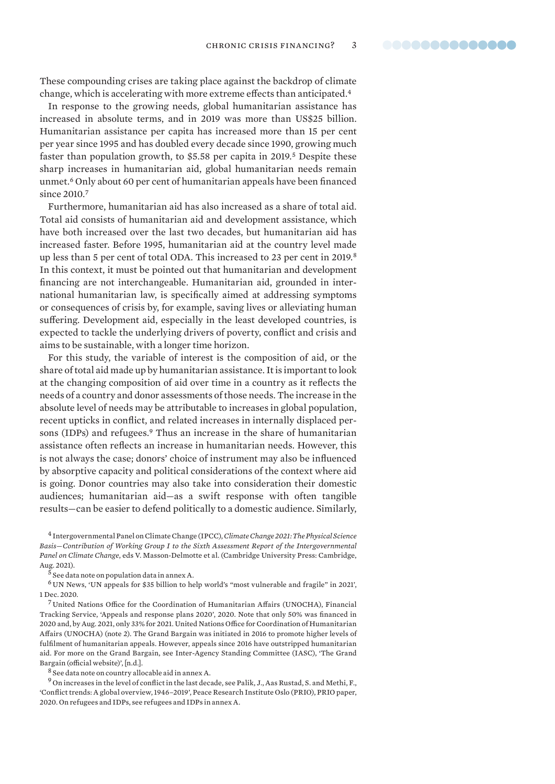These compounding crises are taking place against the backdrop of climate change, which is accelerating with more extreme effects than anticipated.<sup>4</sup>

In response to the growing needs, global humanitarian assistance has increased in absolute terms, and in 2019 was more than US\$25 billion. Humanitarian assistance per capita has increased more than 15 per cent per year since 1995 and has doubled every decade since 1990, growing much faster than population growth, to \$5.58 per capita in 2019.<sup>5</sup> Despite these sharp increases in humanitarian aid, global humanitarian needs remain unmet.<sup>6</sup> Only about 60 per cent of humanitarian appeals have been financed since 2010.<sup>7</sup>

Furthermore, humanitarian aid has also increased as a share of total aid. Total aid consists of humanitarian aid and development assistance, which have both increased over the last two decades, but humanitarian aid has increased faster. Before 1995, humanitarian aid at the country level made up less than 5 per cent of total ODA. This increased to 23 per cent in 2019.<sup>8</sup> In this context, it must be pointed out that humanitarian and development financing are not interchangeable. Humanitarian aid, grounded in international humanitarian law, is specifically aimed at addressing symptoms or consequences of crisis by, for example, saving lives or alleviating human suffering. Development aid, especially in the least developed countries, is expected to tackle the underlying drivers of poverty, conflict and crisis and aims to be sustainable, with a longer time horizon.

For this study, the variable of interest is the composition of aid, or the share of total aid made up by humanitarian assistance. It is important to look at the changing composition of aid over time in a country as it reflects the needs of a country and donor assessments of those needs. The increase in the absolute level of needs may be attributable to increases in global population, recent upticks in conflict, and related increases in internally displaced persons (IDPs) and refugees.<sup>9</sup> Thus an increase in the share of humanitarian assistance often reflects an increase in humanitarian needs. However, this is not always the case; donors' choice of instrument may also be influenced by absorptive capacity and political considerations of the context where aid is going. Donor countries may also take into consideration their domestic audiences; humanitarian aid—as a swift response with often tangible results—can be easier to defend politically to a domestic audience. Similarly,

<sup>4</sup> Intergovernmental Panel on Climate Change (IPCC), *[Climate Change 2021: The Physical Science](https://www.ipcc.ch/report/sixth-assessment-report-working-group-i/)  [Basis—Contribution of Working Group I to the Sixth Assessment Report of the Intergovernmental](https://www.ipcc.ch/report/sixth-assessment-report-working-group-i/)  [Panel on Climate Change](https://www.ipcc.ch/report/sixth-assessment-report-working-group-i/)*, eds V. Masson-Delmotte et al. (Cambridge University Press: Cambridge, Aug. 2021).

<sup>6</sup> UN News, '[UN appeals for \\$35 billion to help world's "most vulnerable and fragile" in 2021](https://news.un.org/en/story/2020/12/1078852)', 1 Dec. 2020.

<sup>7</sup> United Nations Office for the Coordination of Humanitarian Affairs (UNOCHA), Financial Tracking Service, ['Appeals and response plans 2020'](https://fts.unocha.org/appeals/overview/2020), 2020. Note that only 50% was financed in 2020 and, by Aug. 2021, only 33% for 2021. United Nations Office for Coordination of Humanitarian Affairs (UNOCHA) (note 2). The Grand Bargain was initiated in 2016 to promote higher levels of fulfilment of humanitarian appeals. However, appeals since 2016 have outstripped humanitarian aid. For more on the Grand Bargain, see Inter-Agency Standing Committee (IASC), ['The Grand](https://interagencystandingcommittee.org/grand-bargain)  [Bargain \(official website\)](https://interagencystandingcommittee.org/grand-bargain)', [n.d.].

 $^8$  See data note on country allocable aid in annex A.

 $^9$  On increases in the level of conflict in the last decade, see Palik, J., Aas Rustad, S. and Methi, F., ['Conflict trends: A global overview, 1946–2019](https://www.prio.org/publications/12442)', Peace Research Institute Oslo (PRIO), PRIO paper, 2020. On refugees and IDPs, see refugees and IDPs in annex A.

<sup>5</sup> See data note on population data in annex A.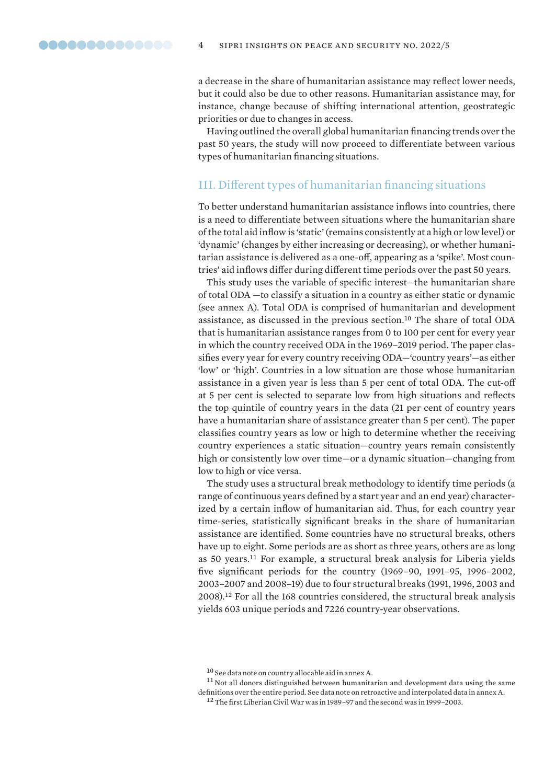<span id="page-3-0"></span>a decrease in the share of humanitarian assistance may reflect lower needs, but it could also be due to other reasons. Humanitarian assistance may, for instance, change because of shifting international attention, geostrategic priorities or due to changes in access.

Having outlined the overall global humanitarian financing trends over the past 50 years, the study will now proceed to differentiate between various types of humanitarian financing situations.

#### III. Different types of humanitarian financing situations

To better understand humanitarian assistance inflows into countries, there is a need to differentiate between situations where the humanitarian share of the total aid inflow is 'static' (remains consistently at a high or low level) or 'dynamic' (changes by either increasing or decreasing), or whether humanitarian assistance is delivered as a one-off, appearing as a 'spike'. Most countries' aid inflows differ during different time periods over the past 50 years.

This study uses the variable of specific interest—the humanitarian share of total ODA —to classify a situation in a country as either static or dynamic (see annex A). Total ODA is comprised of humanitarian and development assistance, as discussed in the previous section.<sup>10</sup> The share of total ODA that is humanitarian assistance ranges from 0 to 100 per cent for every year in which the country received ODA in the 1969–2019 period. The paper classifies every year for every country receiving ODA—'country years'—as either 'low' or 'high'. Countries in a low situation are those whose humanitarian assistance in a given year is less than 5 per cent of total ODA. The cut-off at 5 per cent is selected to separate low from high situations and reflects the top quintile of country years in the data (21 per cent of country years have a humanitarian share of assistance greater than 5 per cent). The paper classifies country years as low or high to determine whether the receiving country experiences a static situation—country years remain consistently high or consistently low over time—or a dynamic situation—changing from low to high or vice versa.

The study uses a structural break methodology to identify time periods (a range of continuous years defined by a start year and an end year) characterized by a certain inflow of humanitarian aid. Thus, for each country year time-series, statistically significant breaks in the share of humanitarian assistance are identified. Some countries have no structural breaks, others have up to eight. Some periods are as short as three years, others are as long as 50 years.<sup>11</sup> For example, a structural break analysis for Liberia yields five significant periods for the country (1969–90, 1991–95, 1996–2002, 2003–2007 and 2008–19) due to four structural breaks (1991, 1996, 2003 and 2008).<sup>12</sup> For all the 168 countries considered, the structural break analysis yields 603 unique periods and 7226 country-year observations.

 $11$  Not all donors distinguished between humanitarian and development data using the same definitions over the entire period. See data note on retroactive and interpolated data in annex A.

<sup>10</sup> See data note on country allocable aid in annex A.

<sup>&</sup>lt;sup>12</sup> The first Liberian Civil War was in 1989–97 and the second was in 1999–2003.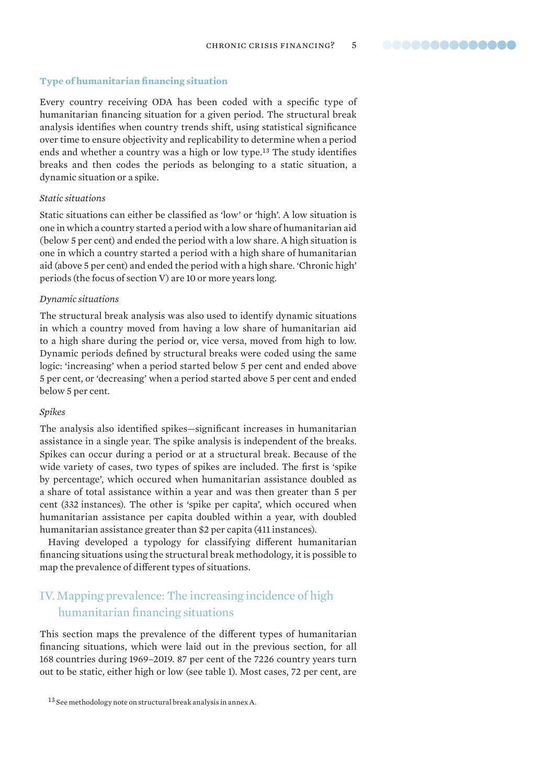#### <span id="page-4-0"></span>**Type of humanitarian financing situation**

Every country receiving ODA has been coded with a specific type of humanitarian financing situation for a given period. The structural break analysis identifies when country trends shift, using statistical significance over time to ensure objectivity and replicability to determine when a period ends and whether a country was a high or low type.<sup>13</sup> The study identifies breaks and then codes the periods as belonging to a static situation, a dynamic situation or a spike.

#### *Static situations*

Static situations can either be classified as 'low' or 'high'. A low situation is one in which a country started a period with a low share of humanitarian aid (below 5 per cent) and ended the period with a low share. A high situation is one in which a country started a period with a high share of humanitarian aid (above 5 per cent) and ended the period with a high share. 'Chronic high' periods (the focus of section V) are 10 or more years long.

#### *Dynamic situations*

The structural break analysis was also used to identify dynamic situations in which a country moved from having a low share of humanitarian aid to a high share during the period or, vice versa, moved from high to low. Dynamic periods defined by structural breaks were coded using the same logic: 'increasing' when a period started below 5 per cent and ended above 5 per cent, or 'decreasing' when a period started above 5 per cent and ended below 5 per cent.

#### *Spikes*

The analysis also identified spikes—significant increases in humanitarian assistance in a single year. The spike analysis is independent of the breaks. Spikes can occur during a period or at a structural break. Because of the wide variety of cases, two types of spikes are included. The first is 'spike by percentage', which occured when humanitarian assistance doubled as a share of total assistance within a year and was then greater than 5 per cent (332 instances). The other is 'spike per capita', which occured when humanitarian assistance per capita doubled within a year, with doubled humanitarian assistance greater than \$2 per capita (411 instances).

Having developed a typology for classifying different humanitarian financing situations using the structural break methodology, it is possible to map the prevalence of different types of situations.

### IV. Mapping prevalence: The increasing incidence of high humanitarian financing situations

This section maps the prevalence of the different types of humanitarian financing situations, which were laid out in the previous section, for all 168 countries during 1969–2019. 87 per cent of the 7226 country years turn out to be static, either high or low (see table 1). Most cases, 72 per cent, are

<sup>13</sup> See methodology note on structural break analysis in annex A.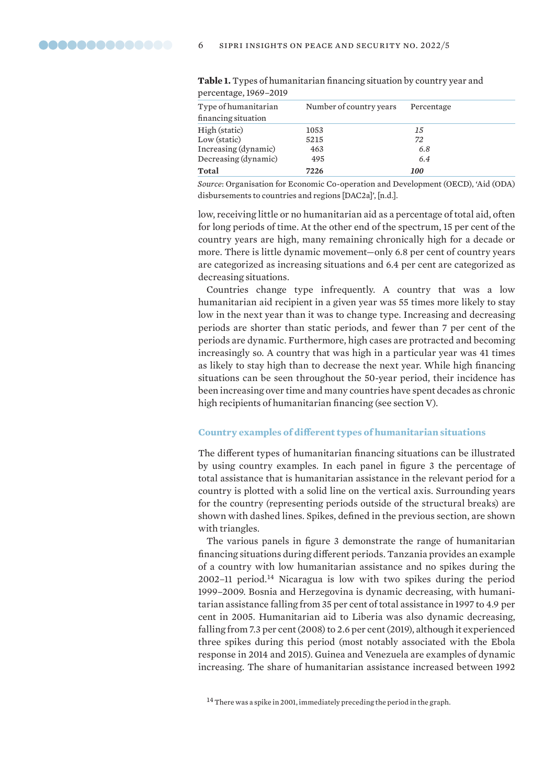| <b>Table 1.</b> Types of humanital latt middleling situation by country year an<br>percentage, 1969-2019 |                         |            |  |
|----------------------------------------------------------------------------------------------------------|-------------------------|------------|--|
| Type of humanitarian<br>financing situation                                                              | Number of country years | Percentage |  |
| High (static)                                                                                            | 1053                    | 15         |  |
| Low (static)                                                                                             | 5215                    | 72         |  |
| Increasing (dynamic)                                                                                     | 463                     | 6.8        |  |

Decreasing (dynamic) 495 *6.4* **Total 7226** *100*

| <b>Table 1.</b> Types of humanitarian financing situation by country year and |  |  |
|-------------------------------------------------------------------------------|--|--|
| percentage, 1969–2019.                                                        |  |  |

*Source*: Organisation for Economic Co-operation and Development (OECD), ['Aid \(ODA\)](https://stats.oecd.org/Index.aspx?DataSetCode=TABLE2A)  [disbursements to countries and regions \[DAC2a\]'](https://stats.oecd.org/Index.aspx?DataSetCode=TABLE2A), [n.d.].

low, receiving little or no humanitarian aid as a percentage of total aid, often for long periods of time. At the other end of the spectrum, 15 per cent of the country years are high, many remaining chronically high for a decade or more. There is little dynamic movement—only 6.8 per cent of country years are categorized as increasing situations and 6.4 per cent are categorized as decreasing situations.

Countries change type infrequently. A country that was a low humanitarian aid recipient in a given year was 55 times more likely to stay low in the next year than it was to change type. Increasing and decreasing periods are shorter than static periods, and fewer than 7 per cent of the periods are dynamic. Furthermore, high cases are protracted and becoming increasingly so. A country that was high in a particular year was 41 times as likely to stay high than to decrease the next year. While high financing situations can be seen throughout the 50-year period, their incidence has been increasing over time and many countries have spent decades as chronic high recipients of humanitarian financing (see section V).

#### **Country examples of different types of humanitarian situations**

The different types of humanitarian financing situations can be illustrated by using country examples. In each panel in figure 3 the percentage of total assistance that is humanitarian assistance in the relevant period for a country is plotted with a solid line on the vertical axis. Surrounding years for the country (representing periods outside of the structural breaks) are shown with dashed lines. Spikes, defined in the previous section, are shown with triangles.

The various panels in figure 3 demonstrate the range of humanitarian financing situations during different periods. Tanzania provides an example of a country with low humanitarian assistance and no spikes during the 2002–11 period.<sup>14</sup> Nicaragua is low with two spikes during the period 1999–2009. Bosnia and Herzegovina is dynamic decreasing, with humanitarian assistance falling from 35 per cent of total assistance in 1997 to 4.9 per cent in 2005. Humanitarian aid to Liberia was also dynamic decreasing, falling from 7.3 per cent (2008) to 2.6 per cent (2019), although it experienced three spikes during this period (most notably associated with the Ebola response in 2014 and 2015). Guinea and Venezuela are examples of dynamic increasing. The share of humanitarian assistance increased between 1992

<span id="page-5-0"></span>

<sup>&</sup>lt;sup>14</sup> There was a spike in 2001, immediately preceding the period in the graph.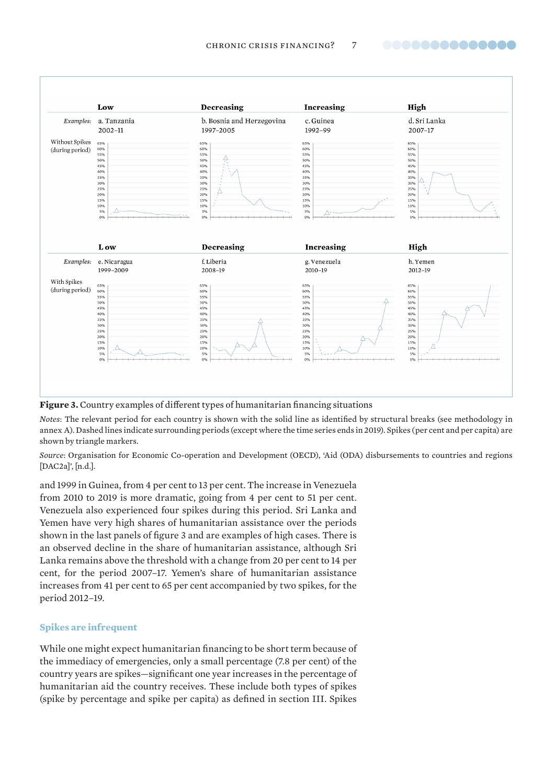..............

<span id="page-6-0"></span>

**Figure 3.** Country examples of different types of humanitarian financing situations

*Notes*: The relevant period for each country is shown with the solid line as identified by structural breaks (see methodology in annex A). Dashed lines indicate surrounding periods (except where the time series ends in 2019). Spikes (per cent and per capita) are shown by triangle markers.

*Source*: Organisation for Economic Co-operation and Development (OECD), ['Aid \(ODA\) disbursements to countries and regions](https://stats.oecd.org/Index.aspx?DataSetCode=TABLE2A)  [\[DAC2a\]](https://stats.oecd.org/Index.aspx?DataSetCode=TABLE2A)', [n.d.].

and 1999 in Guinea, from 4 per cent to 13 per cent. The increase in Venezuela from 2010 to 2019 is more dramatic, going from 4 per cent to 51 per cent. Venezuela also experienced four spikes during this period. Sri Lanka and Yemen have very high shares of humanitarian assistance over the periods shown in the last panels of figure 3 and are examples of high cases. There is an observed decline in the share of humanitarian assistance, although Sri Lanka remains above the threshold with a change from 20 per cent to 14 per cent, for the period 2007–17. Yemen's share of humanitarian assistance increases from 41 per cent to 65 per cent accompanied by two spikes, for the period 2012–19.

#### **Spikes are infrequent**

While one might expect humanitarian financing to be short term because of the immediacy of emergencies, only a small percentage (7.8 per cent) of the country years are spikes—significant one year increases in the percentage of humanitarian aid the country receives. These include both types of spikes (spike by percentage and spike per capita) as defined in section III. Spikes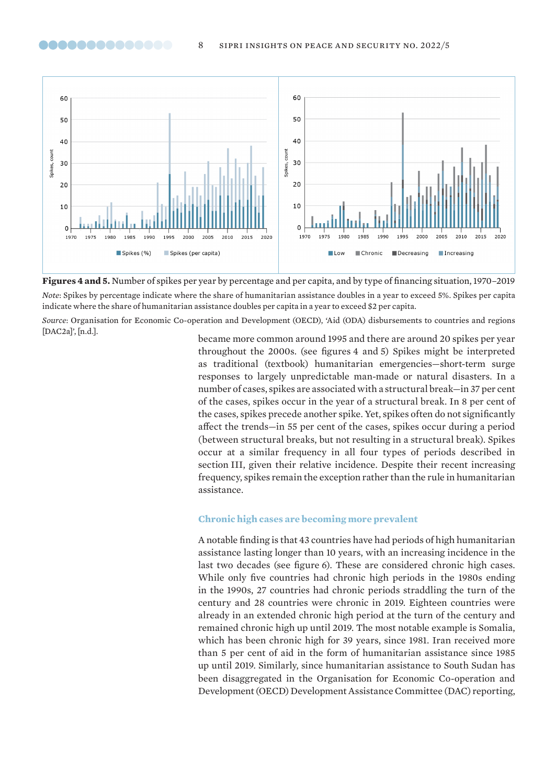<span id="page-7-0"></span>



*Source*: Organisation for Economic Co-operation and Development (OECD), ['Aid \(ODA\) disbursements to countries and regions](https://stats.oecd.org/Index.aspx?DataSetCode=TABLE2A)  [\[DAC2a\]](https://stats.oecd.org/Index.aspx?DataSetCode=TABLE2A)', [n.d.].

became more common around 1995 and there are around 20 spikes per year throughout the 2000s. (see figures 4 and 5) Spikes might be interpreted as traditional (textbook) humanitarian emergencies—short-term surge responses to largely unpredictable man-made or natural disasters. In a number of cases, spikes are associated with a structural break—in 37 per cent of the cases, spikes occur in the year of a structural break. In 8 per cent of the cases, spikes precede another spike. Yet, spikes often do not significantly affect the trends—in 55 per cent of the cases, spikes occur during a period (between structural breaks, but not resulting in a structural break). Spikes occur at a similar frequency in all four types of periods described in section III, given their relative incidence. Despite their recent increasing frequency, spikes remain the exception rather than the rule in humanitarian assistance.

#### **Chronic high cases are becoming more prevalent**

A notable finding is that 43 countries have had periods of high humanitarian assistance lasting longer than 10 years, with an increasing incidence in the last two decades (see figure 6). These are considered chronic high cases. While only five countries had chronic high periods in the 1980s ending in the 1990s, 27 countries had chronic periods straddling the turn of the century and 28 countries were chronic in 2019. Eighteen countries were already in an extended chronic high period at the turn of the century and remained chronic high up until 2019. The most notable example is Somalia, which has been chronic high for 39 years, since 1981. Iran received more than 5 per cent of aid in the form of humanitarian assistance since 1985 up until 2019. Similarly, since humanitarian assistance to South Sudan has been disaggregated in the Organisation for Economic Co-operation and Development (OECD) Development Assistance Committee (DAC) reporting,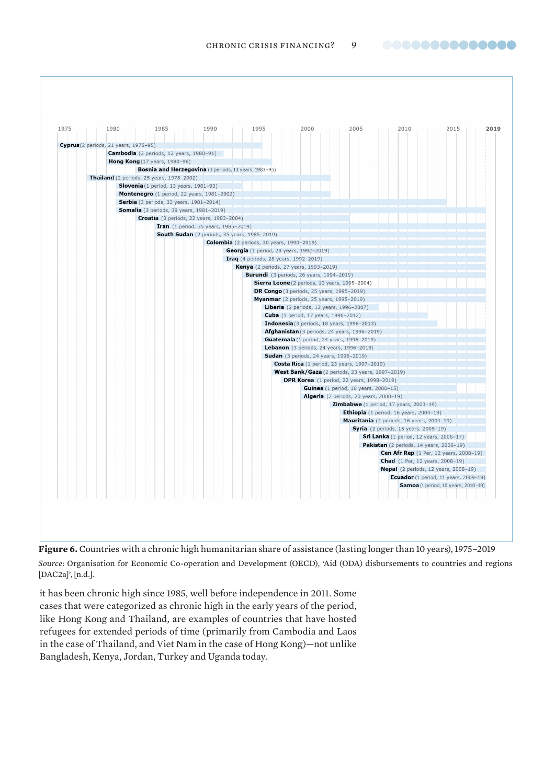

<span id="page-8-0"></span>

*Source*: Organisation for Economic Co-operation and Development (OECD), ['Aid \(ODA\) disbursements to countries and regions](https://stats.oecd.org/Index.aspx?DataSetCode=TABLE2A)  [\[DAC2a\]](https://stats.oecd.org/Index.aspx?DataSetCode=TABLE2A)', [n.d.].

it has been chronic high since 1985, well before independence in 2011. Some cases that were categorized as chronic high in the early years of the period, like Hong Kong and Thailand, are examples of countries that have hosted refugees for extended periods of time (primarily from Cambodia and Laos in the case of Thailand, and Viet Nam in the case of Hong Kong)—not unlike Bangladesh, Kenya, Jordan, Turkey and Uganda today.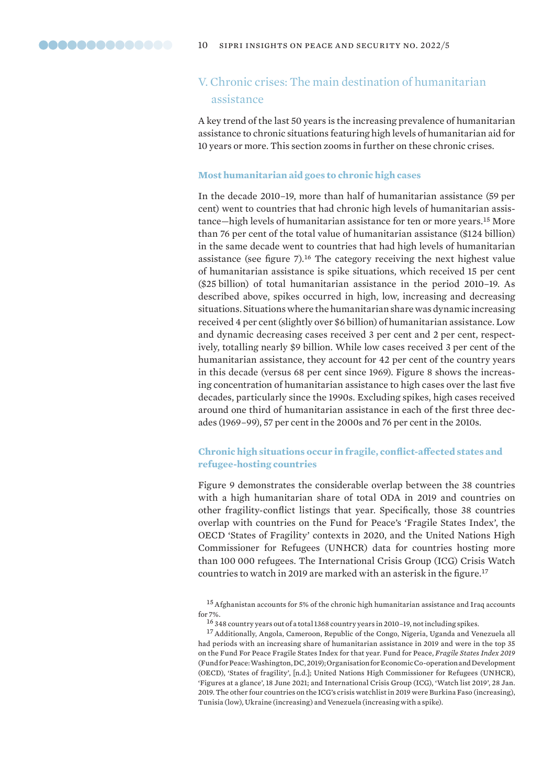<span id="page-9-0"></span>

### V. Chronic crises: The main destination of humanitarian assistance

A key trend of the last 50 years is the increasing prevalence of humanitarian assistance to chronic situations featuring high levels of humanitarian aid for 10 years or more. This section zooms in further on these chronic crises.

#### **Most humanitarian aid goes to chronic high cases**

In the decade 2010–19, more than half of humanitarian assistance (59 per cent) went to countries that had chronic high levels of humanitarian assistance—high levels of humanitarian assistance for ten or more years.<sup>15</sup> More than 76 per cent of the total value of humanitarian assistance (\$124 billion) in the same decade went to countries that had high levels of humanitarian assistance (see figure 7).<sup>16</sup> The category receiving the next highest value of humanitarian assistance is spike situations, which received 15 per cent (\$25 billion) of total humanitarian assistance in the period 2010–19. As described above, spikes occurred in high, low, increasing and decreasing situations. Situations where the humanitarian share was dynamic increasing received 4 per cent (slightly over \$6 billion) of humanitarian assistance. Low and dynamic decreasing cases received 3 per cent and 2 per cent, respectively, totalling nearly \$9 billion. While low cases received 3 per cent of the humanitarian assistance, they account for 42 per cent of the country years in this decade (versus 68 per cent since 1969). Figure 8 shows the increasing concentration of humanitarian assistance to high cases over the last five decades, particularly since the 1990s. Excluding spikes, high cases received around one third of humanitarian assistance in each of the first three decades (1969–99), 57 per cent in the 2000s and 76 per cent in the 2010s.

#### **Chronic high situations occur in fragile, conflict-affected states and refugee-hosting countries**

Figure 9 demonstrates the considerable overlap between the 38 countries with a high humanitarian share of total ODA in 2019 and countries on other fragility-conflict listings that year. Specifically, those 38 countries overlap with countries on the Fund for Peace's 'Fragile States Index', the OECD 'States of Fragility' contexts in 2020, and the United Nations High Commissioner for Refugees (UNHCR) data for countries hosting more than 100 000 refugees. The International Crisis Group (ICG) Crisis Watch countries to watch in 2019 are marked with an asterisk in the figure.<sup>17</sup>

 $^{15}\,$  Afghanistan accounts for 5% of the chronic high humanitarian assistance and Iraq accounts for 7%.

<sup>17</sup> Additionally, Angola, Cameroon, Republic of the Congo, Nigeria, Uganda and Venezuela all had periods with an increasing share of humanitarian assistance in 2019 and were in the top 35 on the Fund For Peace Fragile States Index for that year. Fund for Peace, *[Fragile States Index 2019](https://fundforpeace.org/2019/04/10/fragile-states-index-2019/)* (Fund for Peace: Washington, DC, 2019); Organisation for Economic Co-operation and Development (OECD), ['States of fragility'](http://www3.compareyourcountry.org/states-of-fragility/overview/0/), [n.d.]; United Nations High Commissioner for Refugees (UNHCR), '[Figures at a glance](https://www.unhcr.org/en-us/figures-at-a-glance.html)', 18 June 2021; and International Crisis Group (ICG), '[Watch list 2019'](https://www.crisisgroup.org/global/watch-list-2019), 28 Jan. 2019. The other four countries on the ICG's crisis watchlist in 2019 were Burkina Faso (increasing), Tunisia (low), Ukraine (increasing) and Venezuela (increasing with a spike).

<sup>16</sup> 348 country years out of a total 1368 country years in 2010–19, not including spikes.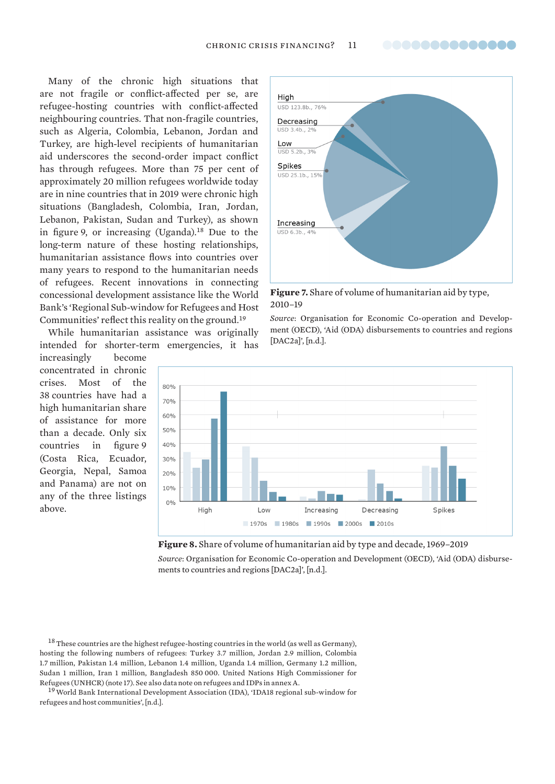<span id="page-10-0"></span>Many of the chronic high situations that are not fragile or conflict-affected per se, are refugee-hosting countries with conflict-affected neighbouring countries. That non-fragile countries, such as Algeria, Colombia, Lebanon, Jordan and Turkey, are high-level recipients of humanitarian aid underscores the second-order impact conflict has through refugees. More than 75 per cent of approximately 20 million refugees worldwide today are in nine countries that in 2019 were chronic high situations (Bangladesh, Colombia, Iran, Jordan, Lebanon, Pakistan, Sudan and Turkey), as shown in figure 9, or increasing (Uganda).<sup>18</sup> Due to the long-term nature of these hosting relationships, humanitarian assistance flows into countries over many years to respond to the humanitarian needs of refugees. Recent innovations in connecting concessional development assistance like the World Bank's 'Regional Sub-window for Refugees and Host Communities' reflect this reality on the ground.<sup>19</sup>

While humanitarian assistance was originally intended for shorter-term emergencies, it has

increasingly become concentrated in chronic crises. Most of the 38 countries have had a high humanitarian share of assistance for more than a decade. Only six countries in figure 9 (Costa Rica, Ecuador, Georgia, Nepal, Samoa and Panama) are not on any of the three listings above.



**Figure 7.** Share of volume of humanitarian aid by type, 2010–19

*Source*: Organisation for Economic Co-operation and Development (OECD), ['Aid \(ODA\) disbursements to countries and regions](https://stats.oecd.org/Index.aspx?DataSetCode=TABLE2A)  [\[DAC2a\]'](https://stats.oecd.org/Index.aspx?DataSetCode=TABLE2A), [n.d.].



**Figure 8.** Share of volume of humanitarian aid by type and decade, 1969–2019

*Source*: Organisation for Economic Co-operation and Development (OECD), ['Aid \(ODA\) disburse](https://stats.oecd.org/Index.aspx?DataSetCode=TABLE2A)[ments to countries and regions \[DAC2a\]'](https://stats.oecd.org/Index.aspx?DataSetCode=TABLE2A), [n.d.].

 $^{18}$  These countries are the highest refugee-hosting countries in the world (as well as Germany), hosting the following numbers of refugees: Turkey 3.7 million, Jordan 2.9 million, Colombia 1.7 million, Pakistan 1.4 million, Lebanon 1.4 million, Uganda 1.4 million, Germany 1.2 million, Sudan 1 million, Iran 1 million, Bangladesh 850 000. United Nations High Commissioner for Refugees (UNHCR) (note 17). See also data note on refugees and IDPs in annex A.

<sup>&</sup>lt;sup>19</sup> World Bank International Development Association (IDA), 'IDA18 regional sub-window for [refugees and host communities'](https://ida.worldbank.org/replenishments/ida-18replenishments/ida18-regional-sub-window-for-refugees-host-communities), [n.d.].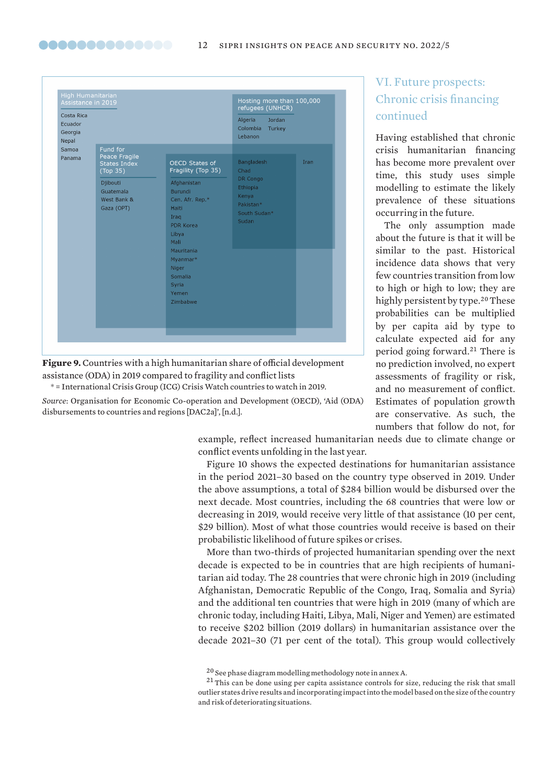| Costa Rica<br>Ecuador<br>Georgia |                                                    | refugees (UNHCR)<br>Jordan<br>Algeria<br>Colombia<br>Turkey<br>Lebanon                   |                                                                     |      |
|----------------------------------|----------------------------------------------------|------------------------------------------------------------------------------------------|---------------------------------------------------------------------|------|
| Nepal<br>Samoa                   | Fund for                                           |                                                                                          |                                                                     |      |
| Panama                           | Peace Fragile<br><b>States Index</b><br>(Top 35)   | <b>OECD States of</b><br>Fragility (Top 35)                                              | <b>Bangladesh</b><br>Chad                                           | Iran |
|                                  | Djibouti<br>Guatemala<br>West Bank &<br>Gaza (OPT) | Afghanistan<br>Burundi<br>Cen. Afr. Rep.*<br>Haiti<br>Iraq<br>PDR Korea<br>Libya<br>Mali | DR Congo<br>Ethiopia<br>Kenya<br>Pakistan*<br>South Sudan*<br>Sudan |      |
|                                  |                                                    | Mauritania<br>Myanmar*<br>Niger<br>Somalia<br>Syria<br>Yemen<br>Zimbabwe                 |                                                                     |      |
|                                  |                                                    |                                                                                          |                                                                     |      |

<span id="page-11-0"></span>00000000000000

**Figure 9.** Countries with a high humanitarian share of official development assistance (ODA) in 2019 compared to fragility and conflict lists

\* = International Crisis Group (ICG) Crisis Watch countries to watch in 2019.

*Source*: Organisation for Economic Co-operation and Development (OECD), ['Aid \(ODA\)](https://stats.oecd.org/Index.aspx?DataSetCode=TABLE2A) [disbursements to countries and regions \[DAC2a\]'](https://stats.oecd.org/Index.aspx?DataSetCode=TABLE2A), [n.d.].

### VI. Future prospects: Chronic crisis financing continued

Having established that chronic crisis humanitarian financing has become more prevalent over time, this study uses simple modelling to estimate the likely prevalence of these situations occurring in the future.

The only assumption made about the future is that it will be similar to the past. Historical incidence data shows that very few countries transition from low to high or high to low; they are highly persistent by type.<sup>20</sup> These probabilities can be multiplied by per capita aid by type to calculate expected aid for any period going forward.<sup>21</sup> There is no prediction involved, no expert assessments of fragility or risk, and no measurement of conflict. Estimates of population growth are conservative. As such, the numbers that follow do not, for

example, reflect increased humanitarian needs due to climate change or conflict events unfolding in the last year.

Figure 10 shows the expected destinations for humanitarian assistance in the period 2021–30 based on the country type observed in 2019. Under the above assumptions, a total of \$284 billion would be disbursed over the next decade. Most countries, including the 68 countries that were low or decreasing in 2019, would receive very little of that assistance (10 per cent, \$29 billion). Most of what those countries would receive is based on their probabilistic likelihood of future spikes or crises.

More than two-thirds of projected humanitarian spending over the next decade is expected to be in countries that are high recipients of humanitarian aid today. The 28 countries that were chronic high in 2019 (including Afghanistan, Democratic Republic of the Congo, Iraq, Somalia and Syria) and the additional ten countries that were high in 2019 (many of which are chronic today, including Haiti, Libya, Mali, Niger and Yemen) are estimated to receive \$202 billion (2019 dollars) in humanitarian assistance over the decade 2021–30 (71 per cent of the total). This group would collectively

<sup>20</sup> See phase diagram modelling methodology note in annex A.

<sup>&</sup>lt;sup>21</sup> This can be done using per capita assistance controls for size, reducing the risk that small outlier states drive results and incorporating impact into the model based on the size of the country and risk of deteriorating situations.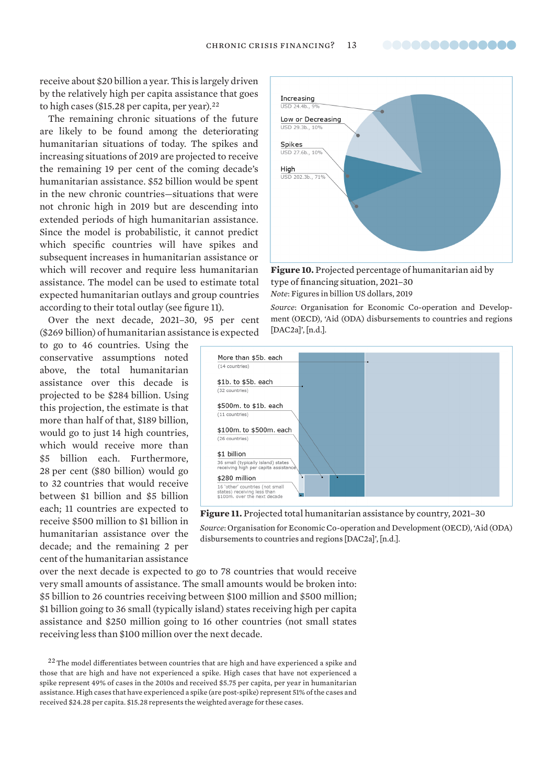receive about \$20 billion a year. This is largely driven by the relatively high per capita assistance that goes to high cases (\$15.28 per capita, per year). $22$ 

The remaining chronic situations of the future are likely to be found among the deteriorating humanitarian situations of today. The spikes and increasing situations of 2019 are projected to receive the remaining 19 per cent of the coming decade's humanitarian assistance. \$52 billion would be spent in the new chronic countries—situations that were not chronic high in 2019 but are descending into extended periods of high humanitarian assistance. Since the model is probabilistic, it cannot predict which specific countries will have spikes and subsequent increases in humanitarian assistance or which will recover and require less humanitarian assistance. The model can be used to estimate total expected humanitarian outlays and group countries according to their total outlay (see figure 11).

Over the next decade, 2021–30, 95 per cent (\$269 billion) of humanitarian assistance is expected

to go to 46 countries. Using the conservative assumptions noted above, the total humanitarian assistance over this decade is projected to be \$284 billion. Using this projection, the estimate is that more than half of that, \$189 billion, would go to just 14 high countries, which would receive more than \$5 billion each. Furthermore, 28 per cent (\$80 billion) would go to 32 countries that would receive between \$1 billion and \$5 billion each; 11 countries are expected to receive \$500 million to \$1 billion in humanitarian assistance over the decade; and the remaining 2 per cent of the humanitarian assistance



**Figure 10.** Projected percentage of humanitarian aid by type of financing situation, 2021–30 *Note*: Figures in billion US dollars, 2019

*Source*: Organisation for Economic Co-operation and Development (OECD), ['Aid \(ODA\) disbursements to countries and regions](https://stats.oecd.org/Index.aspx?DataSetCode=TABLE2A)  [\[DAC2a\]](https://stats.oecd.org/Index.aspx?DataSetCode=TABLE2A)', [n.d.].





[disbursements to countries and regions \[DAC2a](https://stats.oecd.org/Index.aspx?DataSetCode=TABLE2A)]', [n.d.].

over the next decade is expected to go to 78 countries that would receive very small amounts of assistance. The small amounts would be broken into: \$5 billion to 26 countries receiving between \$100 million and \$500 million; \$1 billion going to 36 small (typically island) states receiving high per capita assistance and \$250 million going to 16 other countries (not small states receiving less than \$100 million over the next decade.

<sup>&</sup>lt;sup>22</sup> The model differentiates between countries that are high and have experienced a spike and those that are high and have not experienced a spike. High cases that have not experienced a spike represent 49% of cases in the 2010s and received \$5.75 per capita, per year in humanitarian assistance. High cases that have experienced a spike (are post-spike) represent 51% of the cases and received \$24.28 per capita. \$15.28 represents the weighted average for these cases.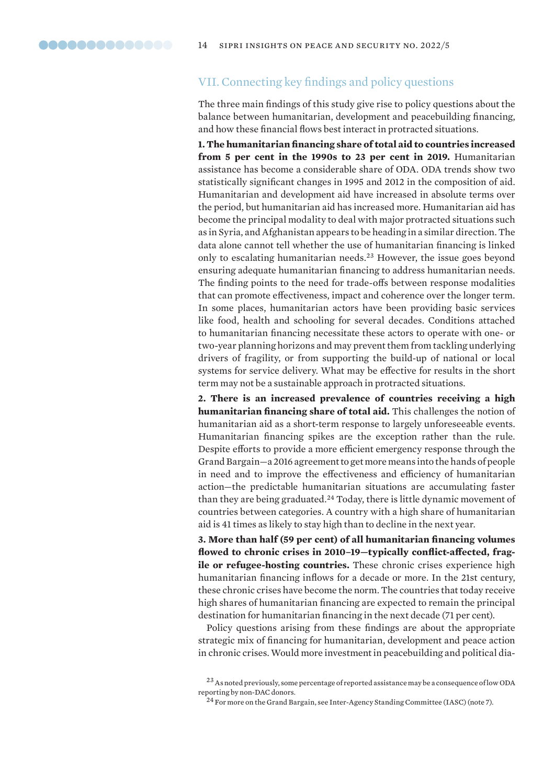### <span id="page-13-0"></span>VII. Connecting key findings and policy questions

The three main findings of this study give rise to policy questions about the balance between humanitarian, development and peacebuilding financing, and how these financial flows best interact in protracted situations.

**1. The humanitarian financing share of total aid to countries increased from 5 per cent in the 1990s to 23 per cent in 2019.** Humanitarian assistance has become a considerable share of ODA. ODA trends show two statistically significant changes in 1995 and 2012 in the composition of aid. Humanitarian and development aid have increased in absolute terms over the period, but humanitarian aid has increased more. Humanitarian aid has become the principal modality to deal with major protracted situations such as in Syria, and Afghanistan appears to be heading in a similar direction. The data alone cannot tell whether the use of humanitarian financing is linked only to escalating humanitarian needs.<sup>23</sup> However, the issue goes beyond ensuring adequate humanitarian financing to address humanitarian needs. The finding points to the need for trade-offs between response modalities that can promote effectiveness, impact and coherence over the longer term. In some places, humanitarian actors have been providing basic services like food, health and schooling for several decades. Conditions attached to humanitarian financing necessitate these actors to operate with one- or two-year planning horizons and may prevent them from tackling underlying drivers of fragility, or from supporting the build-up of national or local systems for service delivery. What may be effective for results in the short term may not be a sustainable approach in protracted situations.

**2. There is an increased prevalence of countries receiving a high humanitarian financing share of total aid.** This challenges the notion of humanitarian aid as a short-term response to largely unforeseeable events. Humanitarian financing spikes are the exception rather than the rule. Despite efforts to provide a more efficient emergency response through the Grand Bargain—a 2016 agreement to get more means into the hands of people in need and to improve the effectiveness and efficiency of humanitarian action—the predictable humanitarian situations are accumulating faster than they are being graduated.<sup>24</sup> Today, there is little dynamic movement of countries between categories. A country with a high share of humanitarian aid is 41 times as likely to stay high than to decline in the next year.

**3. More than half (59 per cent) of all humanitarian financing volumes flowed to chronic crises in 2010–19—typically conflict-affected, fragile or refugee-hosting countries.** These chronic crises experience high humanitarian financing inflows for a decade or more. In the 21st century, these chronic crises have become the norm. The countries that today receive high shares of humanitarian financing are expected to remain the principal destination for humanitarian financing in the next decade (71 per cent).

Policy questions arising from these findings are about the appropriate strategic mix of financing for humanitarian, development and peace action in chronic crises. Would more investment in peacebuilding and political dia-

<sup>&</sup>lt;sup>23</sup> As noted previously, some percentage of reported assistance may be a consequence of low ODA reporting by non-DAC donors.

 $^{24}$  For more on the Grand Bargain, see Inter-Agency Standing Committee (IASC) (note 7).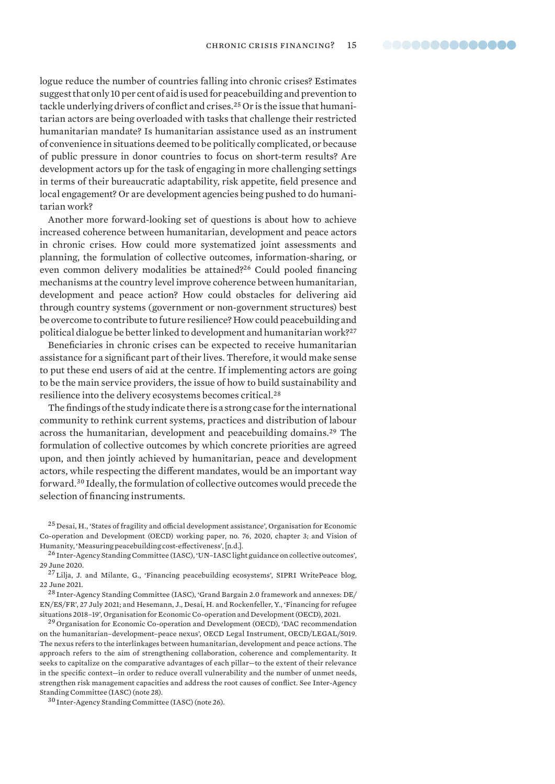logue reduce the number of countries falling into chronic crises? Estimates suggest that only 10 per cent of aid is used for peacebuilding and prevention to tackle underlying drivers of conflict and crises.25 Or is the issue that humanitarian actors are being overloaded with tasks that challenge their restricted humanitarian mandate? Is humanitarian assistance used as an instrument of convenience in situations deemed to be politically complicated, or because of public pressure in donor countries to focus on short-term results? Are development actors up for the task of engaging in more challenging settings in terms of their bureaucratic adaptability, risk appetite, field presence and local engagement? Or are development agencies being pushed to do humanitarian work?

Another more forward-looking set of questions is about how to achieve increased coherence between humanitarian, development and peace actors in chronic crises. How could more systematized joint assessments and planning, the formulation of collective outcomes, information-sharing, or even common delivery modalities be attained?<sup>26</sup> Could pooled financing mechanisms at the country level improve coherence between humanitarian, development and peace action? How could obstacles for delivering aid through country systems (government or non-government structures) best be overcome to contribute to future resilience? How could peacebuilding and political dialogue be better linked to development and humanitarian work?<sup>27</sup>

Beneficiaries in chronic crises can be expected to receive humanitarian assistance for a significant part of their lives. Therefore, it would make sense to put these end users of aid at the centre. If implementing actors are going to be the main service providers, the issue of how to build sustainability and resilience into the delivery ecosystems becomes critical.<sup>28</sup>

The findings of the study indicate there is a strong case for the international community to rethink current systems, practices and distribution of labour across the humanitarian, development and peacebuilding domains.<sup>29</sup> The formulation of collective outcomes by which concrete priorities are agreed upon, and then jointly achieved by humanitarian, peace and development actors, while respecting the different mandates, would be an important way forward.<sup>30</sup> Ideally, the formulation of collective outcomes would precede the selection of financing instruments.

<sup>25</sup> Desai, H., ['States of fragility and official development assistance](https://www.oecd-ilibrary.org/docserver/44bbde61-en.pdf?expires=1639700931&id=id&accname=guest&checksum=0738DD7448E26D58AF4B10A77419DB0E)', Organisation for Economic Co-operation and Development (OECD) working paper, no. 76, 2020, chapter 3; and Vision of Humanity, '[Measuring peacebuilding cost-effectiveness'](https://www.visionofhumanity.org/measuring-peacebuilding-cost-effectiveness/), [n.d.].

<sup>26</sup> Inter-Agency Standing Committee (IASC), ['UN–IASC light guidance on collective outcomes](https://interagencystandingcommittee.org/inter-agency-standing-committee/un-iasc-light-guidance-collective-outcomes)', 29 June 2020.

<sup>27</sup> Lilja, J. and Milante, G., '[Financing peacebuilding ecosystems'](https://www.sipri.org/commentary/blog/2021/financing-peacebuilding-ecosystems), SIPRI WritePeace blog, 22 June 2021.

 $^{28}\!$  Inter-Agency Standing Committee (IASC), '[Grand Bargain 2.0 framework and annexes: DE/](https://interagencystandingcommittee.org/grand-bargain-official-website/grand-bargain-20-framework-and-annexes-deenesfr-0) [EN/ES/FR'](https://interagencystandingcommittee.org/grand-bargain-official-website/grand-bargain-20-framework-and-annexes-deenesfr-0), 27 July 2021; and Hesemann, J., Desai, H. and Rockenfeller, Y., '[Financing for refugee](https://www.oecd.org/dac/conflict-fragility-resilience/docs/financing-refugee-situations-2018-19.pdf)  [situations 2018–19](https://www.oecd.org/dac/conflict-fragility-resilience/docs/financing-refugee-situations-2018-19.pdf)', Organisation for Economic Co-operation and Development (OECD), 2021.

<sup>29</sup> Organisation for Economic Co-operation and Development (OECD), 'DAC recommendation [on the humanitarian–development–peace nexus'](https://www.oecd.org/dac/dac-instruments-and-standards.htm), OECD Legal Instrument, OECD/LEGAL/5019. The nexus refers to the interlinkages between humanitarian, development and peace actions. The approach refers to the aim of strengthening collaboration, coherence and complementarity. It seeks to capitalize on the comparative advantages of each pillar—to the extent of their relevance in the specific context—in order to reduce overall vulnerability and the number of unmet needs, strengthen risk management capacities and address the root causes of conflict. See Inter-Agency Standing Committee (IASC) (note 28).

<sup>30</sup> Inter-Agency Standing Committee (IASC) (note 26).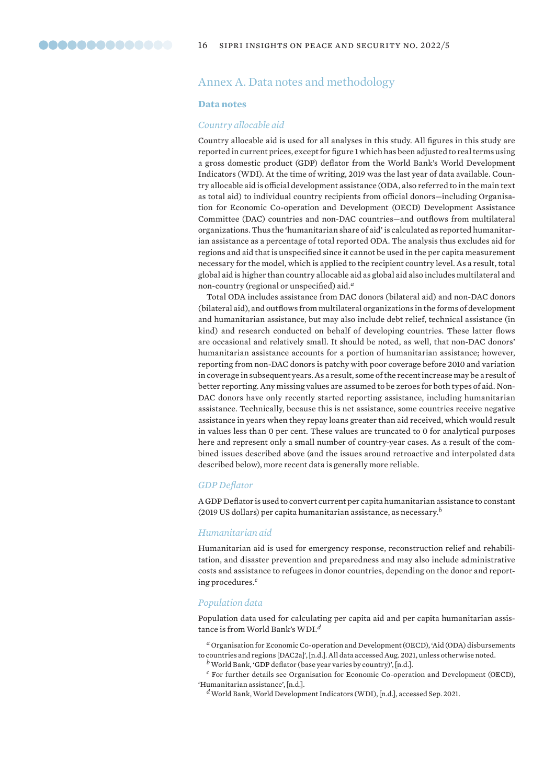### <span id="page-15-0"></span>Annex A. Data notes and methodology

#### **Data notes**

#### *Country allocable aid*

Country allocable aid is used for all analyses in this study. All figures in this study are reported in current prices, except for figure 1 which has been adjusted to real terms using a gross domestic product (GDP) deflator from the World Bank's World Development Indicators (WDI). At the time of writing, 2019 was the last year of data available. Country allocable aid is official development assistance (ODA, also referred to in the main text as total aid) to individual country recipients from official donors—including Organisation for Economic Co-operation and Development (OECD) Development Assistance Committee (DAC) countries and non-DAC countries—and outflows from multilateral organizations. Thus the 'humanitarian share of aid' is calculated as reported humanitarian assistance as a percentage of total reported ODA. The analysis thus excludes aid for regions and aid that is unspecified since it cannot be used in the per capita measurement necessary for the model, which is applied to the recipient country level. As a result, total global aid is higher than country allocable aid as global aid also includes multilateral and non-country (regional or unspecified) aid.*<sup>a</sup>*

Total ODA includes assistance from DAC donors (bilateral aid) and non-DAC donors (bilateral aid), and outflows from multilateral organizations in the forms of development and humanitarian assistance, but may also include debt relief, technical assistance (in kind) and research conducted on behalf of developing countries. These latter flows are occasional and relatively small. It should be noted, as well, that non-DAC donors' humanitarian assistance accounts for a portion of humanitarian assistance; however, reporting from non-DAC donors is patchy with poor coverage before 2010 and variation in coverage in subsequent years. As a result, some of the recent increase may be a result of better reporting. Any missing values are assumed to be zeroes for both types of aid. Non-DAC donors have only recently started reporting assistance, including humanitarian assistance. Technically, because this is net assistance, some countries receive negative assistance in years when they repay loans greater than aid received, which would result in values less than 0 per cent. These values are truncated to 0 for analytical purposes here and represent only a small number of country-year cases. As a result of the combined issues described above (and the issues around retroactive and interpolated data described below), more recent data is generally more reliable.

#### *GDP Deflator*

A GDP Deflator is used to convert current per capita humanitarian assistance to constant (2019 US dollars) per capita humanitarian assistance, as necessary.*<sup>b</sup>*

#### *Humanitarian aid*

Humanitarian aid is used for emergency response, reconstruction relief and rehabilitation, and disaster prevention and preparedness and may also include administrative costs and assistance to refugees in donor countries, depending on the donor and reporting procedures.*<sup>c</sup>*

#### *Population data*

Population data used for calculating per capita aid and per capita humanitarian assistance is from World Bank's WDI.*<sup>d</sup>*

*<sup>a</sup>* Organisation for Economic Co-operation and Development (OECD), ['Aid \(ODA\) disbursements](https://stats.oecd.org/Index.aspx?DataSetCode=TABLE2A)  [to countries and regions \[DAC2a\]'](https://stats.oecd.org/Index.aspx?DataSetCode=TABLE2A), [n.d.]. All data accessed Aug. 2021, unless otherwise noted.

*b* World Bank, ['GDP deflator \(base year varies by country\)](https://data.worldbank.org/indicator/NY.GDP.DEFL.ZS)', [n.d.]. *<sup>c</sup>* For further details see Organisation for Economic Co-operation and Development (OECD),

'[Humanitarian assistance'](https://www.oecd.org/dac/financing-sustainable-development/development-finance-topics/humanitarian-assistance.htm), [n.d.].

*d* World Bank, [World Development Indicators \(WDI\),](https://databank.worldbank.org/source/world-development-indicators) [n.d.], accessed Sep. 2021.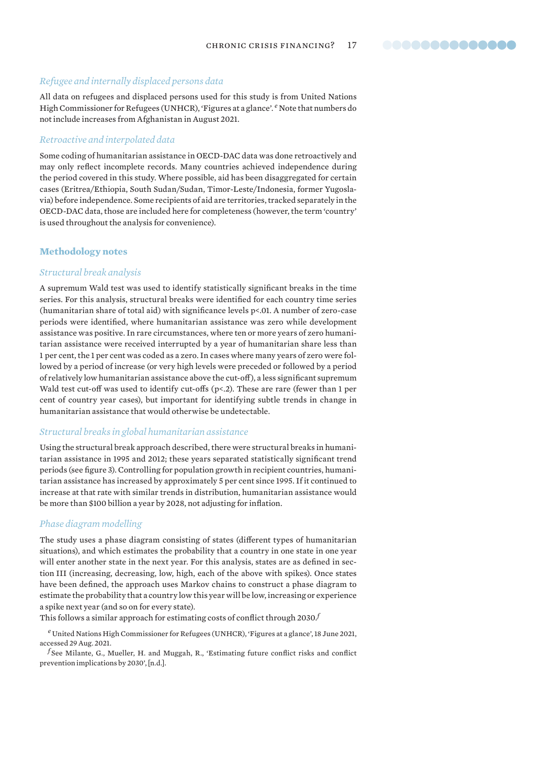#### *Refugee and internally displaced persons data*

All data on refugees and displaced persons used for this study is from United Nations High Commissioner for Refugees (UNHCR), 'Figures at a glance'. *e* Note that numbers do not include increases from Afghanistan in August 2021.

#### *Retroactive and interpolated data*

Some coding of humanitarian assistance in OECD-DAC data was done retroactively and may only reflect incomplete records. Many countries achieved independence during the period covered in this study. Where possible, aid has been disaggregated for certain cases (Eritrea/Ethiopia, South Sudan/Sudan, Timor-Leste/Indonesia, former Yugoslavia) before independence. Some recipients of aid are territories, tracked separately in the OECD-DAC data, those are included here for completeness (however, the term 'country' is used throughout the analysis for convenience).

#### **Methodology notes**

#### *Structural break analysis*

A supremum Wald test was used to identify statistically significant breaks in the time series. For this analysis, structural breaks were identified for each country time series (humanitarian share of total aid) with significance levels p<.01. A number of zero-case periods were identified, where humanitarian assistance was zero while development assistance was positive. In rare circumstances, where ten or more years of zero humanitarian assistance were received interrupted by a year of humanitarian share less than 1 per cent, the 1 per cent was coded as a zero. In cases where many years of zero were followed by a period of increase (or very high levels were preceded or followed by a period of relatively low humanitarian assistance above the cut-off), a less significant supremum Wald test cut-off was used to identify cut-offs (p<.2). These are rare (fewer than 1 per cent of country year cases), but important for identifying subtle trends in change in humanitarian assistance that would otherwise be undetectable.

#### *Structural breaks in global humanitarian assistance*

Using the structural break approach described, there were structural breaks in humanitarian assistance in 1995 and 2012; these years separated statistically significant trend periods (see figure 3). Controlling for population growth in recipient countries, humanitarian assistance has increased by approximately 5 per cent since 1995. If it continued to increase at that rate with similar trends in distribution, humanitarian assistance would be more than \$100 billion a year by 2028, not adjusting for inflation.

#### *Phase diagram modelling*

The study uses a phase diagram consisting of states (different types of humanitarian situations), and which estimates the probability that a country in one state in one year will enter another state in the next year. For this analysis, states are as defined in section III (increasing, decreasing, low, high, each of the above with spikes). Once states have been defined, the approach uses Markov chains to construct a phase diagram to estimate the probability that a country low this year will be low, increasing or experience a spike next year (and so on for every state).

This follows a similar approach for estimating costs of conflict through 2030.*<sup>f</sup>*

*<sup>e</sup>* United Nations High Commissioner for Refugees (UNHCR), '[Figures at a glance'](https://www.unhcr.org/en-us/figures-at-a-glance.html), 18 June 2021, accessed 29 Aug. 2021.

*<sup>f</sup>* See Milante, G., Mueller, H. and Muggah, R., '[Estimating future conflict risks and conflict](https://peacekeeping.un.org/sites/default/files/estimating_future_conflict_risks_and_conflict_prevention_implications_by_2030.pdf)  [prevention implications by 2030](https://peacekeeping.un.org/sites/default/files/estimating_future_conflict_risks_and_conflict_prevention_implications_by_2030.pdf)', [n.d.].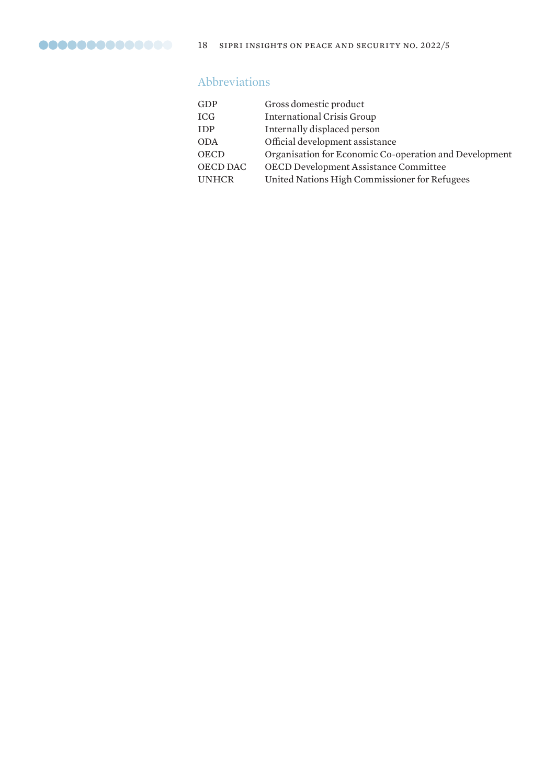### Abbreviations

| GDP          | Gross domestic product                                 |
|--------------|--------------------------------------------------------|
| <b>ICG</b>   | <b>International Crisis Group</b>                      |
| <b>IDP</b>   | Internally displaced person                            |
| <b>ODA</b>   | Official development assistance                        |
| <b>OECD</b>  | Organisation for Economic Co-operation and Development |
| OECD DAC     | OECD Development Assistance Committee                  |
| <b>UNHCR</b> | United Nations High Commissioner for Refugees          |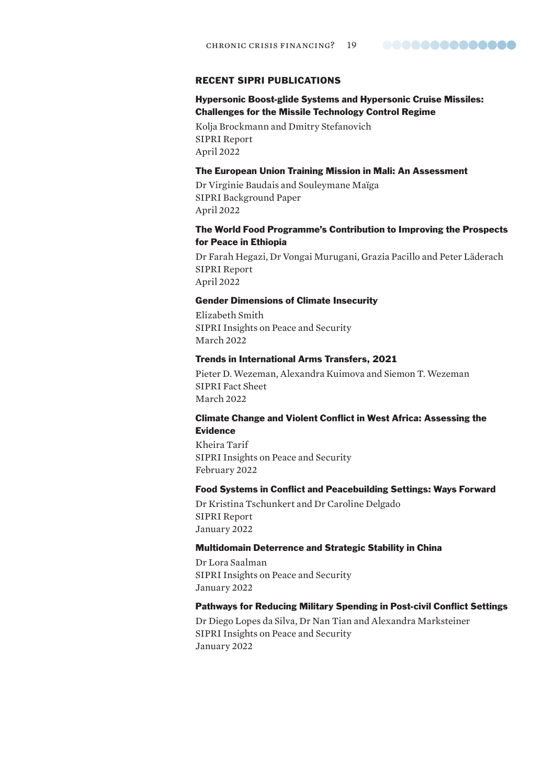#### 00000000000000

#### RECENT SIPRI PUBLICATIONS

#### Hypersonic Boost-glide Systems and Hypersonic Cruise Missiles: Challenges for the Missile Technology Control Regime

Kolja Brockmann and Dmitry Stefanovich SIPRI Report April 2022

#### The European Union Training Mission in Mali: An Assessment

Dr Virginie Baudais and Souleymane Maïga SIPRI Background Paper April 2022

#### The World Food Programme's Contribution to Improving the Prospects for Peace in Ethiopia

Dr Farah Hegazi, Dr Vongai Murugani, Grazia Pacillo and Peter Läderach SIPRI Report April 2022

#### Gender Dimensions of Climate Insecurity

Elizabeth Smith SIPRI Insights on Peace and Security March 2022

#### Trends in International Arms Transfers, 2021

Pieter D. Wezeman, Alexandra Kuimova and Siemon T. Wezeman SIPRI Fact Sheet March 2022

#### Climate Change and Violent Conflict in West Africa: Assessing the Evidence

Kheira Tarif SIPRI Insights on Peace and Security February 2022

#### Food Systems in Conflict and Peacebuilding Settings: Ways Forward

Dr Kristina Tschunkert and Dr Caroline Delgado SIPRI Report January 2022

#### Multidomain Deterrence and Strategic Stability in China

Dr Lora Saalman SIPRI Insights on Peace and Security January 2022

#### Pathways for Reducing Military Spending in Post-civil Conflict Settings

Dr Diego Lopes da Silva, Dr Nan Tian and Alexandra Marksteiner SIPRI Insights on Peace and Security January 2022